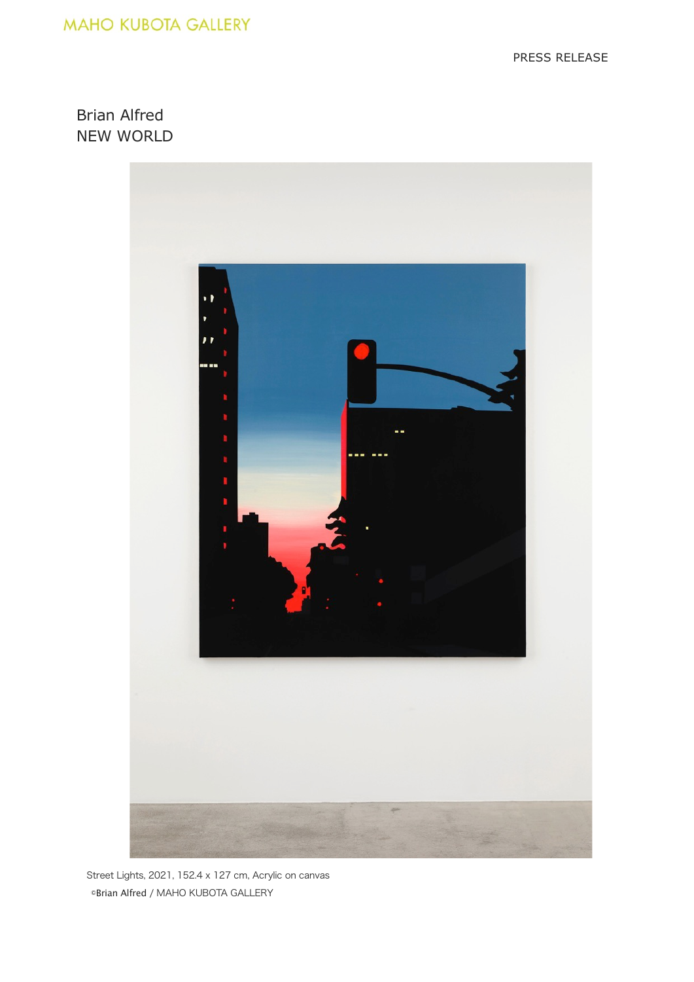## **MAHO KUBOTA GALLERY**

PRESS RELEASE

Brian Alfred NEW WORLD



Street Lights, 2021, 152.4 x 127 cm, Acrylic on canvas ©Brian Alfred / MAHO KUBOTA GALLERY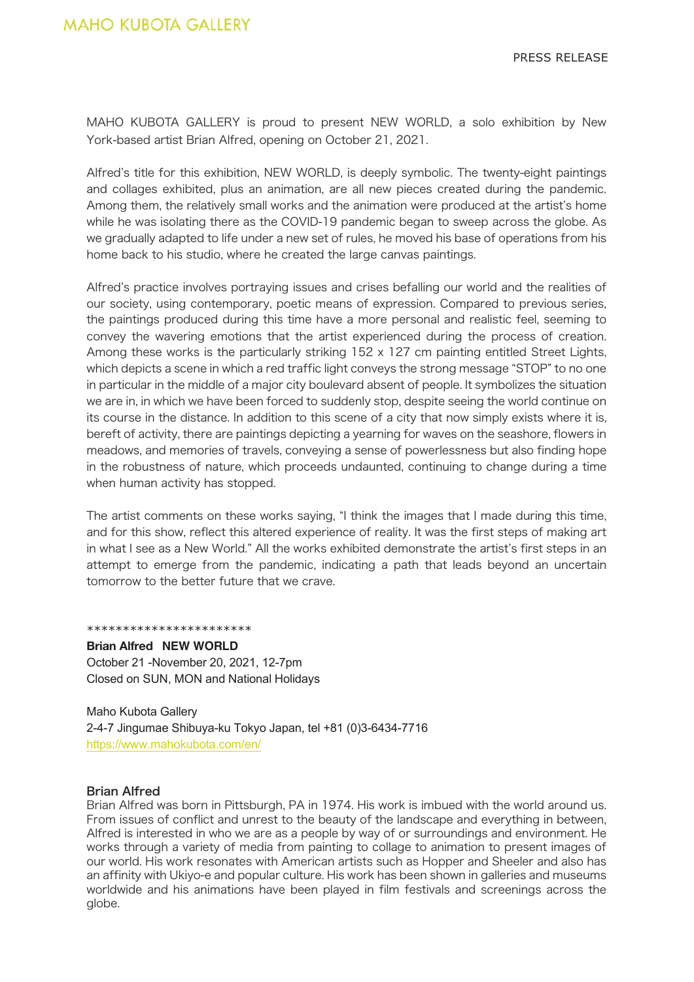MAHO KUBOTA GALLERY is proud to present NEW WORLD, a solo exhibition by New York-based artist Brian Alfred, opening on October 21, 2021.

Alfred's title for this exhibition, NEW WORLD, is deeply symbolic. The twenty-eight paintings and collages exhibited, plus an animation, are all new pieces created during the pandemic. Among them, the relatively small works and the animation were produced at the artist's home while he was isolating there as the COVID-19 pandemic began to sweep across the globe. As we gradually adapted to life under a new set of rules, he moved his base of operations from his home back to his studio, where he created the large canvas paintings.

Alfred's practice involves portraying issues and crises befalling our world and the realities of our society, using contemporary, poetic means of expression. Compared to previous series, the paintings produced during this time have a more personal and realistic feel, seeming to convey the wavering emotions that the artist experienced during the process of creation. Among these works is the particularly striking 152 x 127 cm painting entitled Street Lights, which depicts a scene in which a red traffic light conveys the strong message "STOP" to no one in particular in the middle of a major city boulevard absent of people. It symbolizes the situation we are in, in which we have been forced to suddenly stop, despite seeing the world continue on its course in the distance. In addition to this scene of a city that now simply exists where it is, bereft of activity, there are paintings depicting a yearning for waves on the seashore, flowers in meadows, and memories of travels, conveying a sense of powerlessness but also finding hope in the robustness of nature, which proceeds undaunted, continuing to change during a time when human activity has stopped.

The artist comments on these works saying, "I think the images that I made during this time, and for this show, reflect this altered experience of reality. It was the first steps of making art in what I see as a New World." All the works exhibited demonstrate the artist's first steps in an attempt to emerge from the pandemic, indicating a path that leads beyond an uncertain tomorrow to the better future that we crave.

\*\*\*\*\*\*\*\*\*\*\*\*\*\*\*\*\*\*\*\*\*\*\*

**Brian Alfred NEW WORLD** October 21 -November 20, 2021, 12-7pm Closed on SUN, MON and National Holidays

Maho Kubota Gallery 2-4-7 Jingumae Shibuya-ku Tokyo Japan, tel +81 (0)3-6434-7716 https://www.mahokubota.com/en/

## Brian Alfred

Brian Alfred was born in Pittsburgh, PA in 1974. His work is imbued with the world around us. From issues of conflict and unrest to the beauty of the landscape and everything in between, Alfred is interested in who we are as a people by way of or surroundings and environment. He works through a variety of media from painting to collage to animation to present images of our world. His work resonates with American artists such as Hopper and Sheeler and also has an affinity with Ukiyo-e and popular culture. His work has been shown in galleries and museums worldwide and his animations have been played in film festivals and screenings across the globe.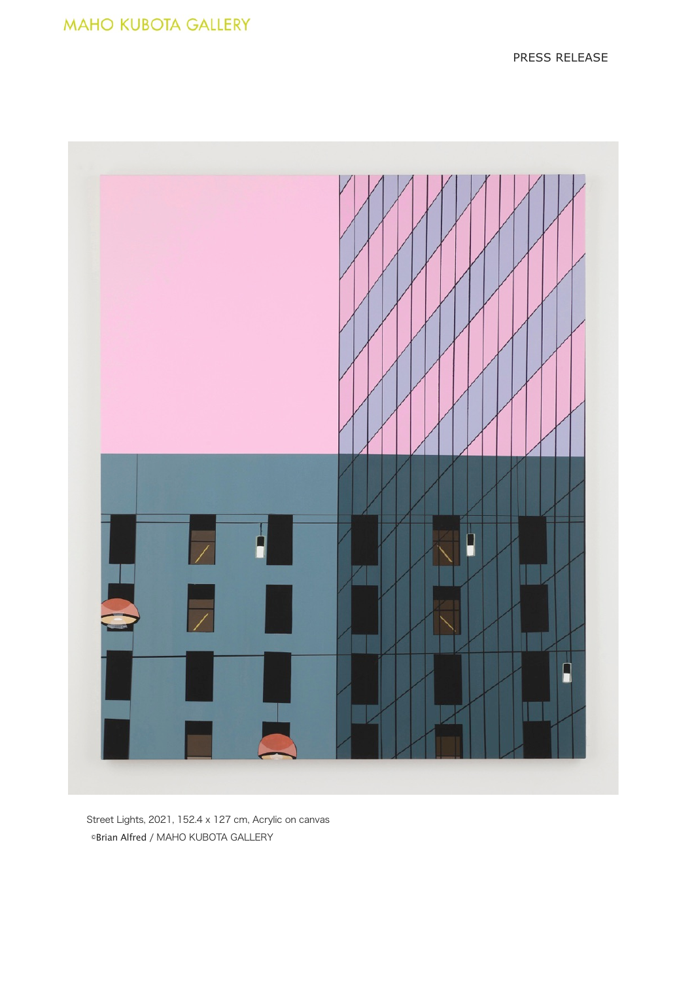

Street Lights, 2021, 152.4 x 127 cm, Acrylic on canvas ©Brian Alfred / MAHO KUBOTA GALLERY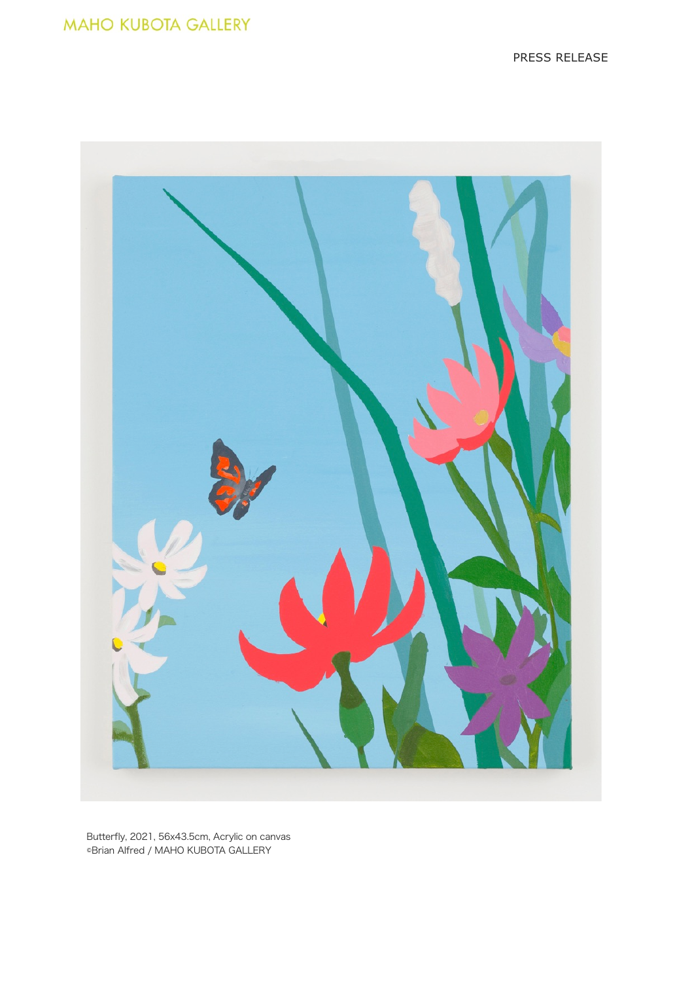

Butterfly, 2021, 56x43.5cm, Acrylic on canvas ©Brian Alfred / MAHO KUBOTA GALLERY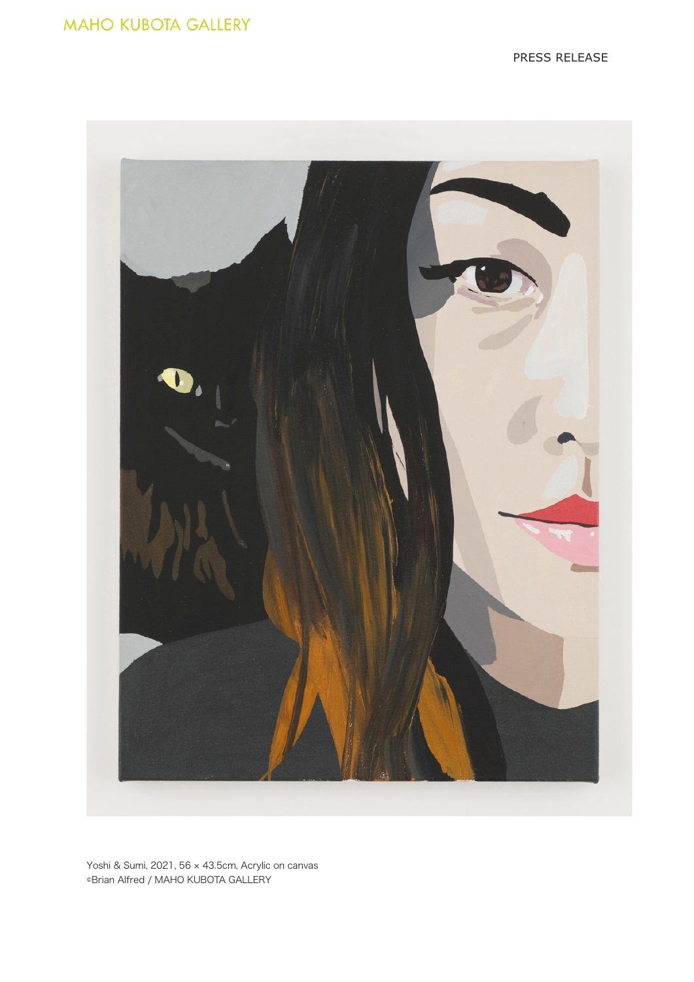

Yoshi & Sumi, 2021, 56 × 43.5cm, Acrylic on canvas ©Brian Alfred / MAHO KUBOTA GALLERY